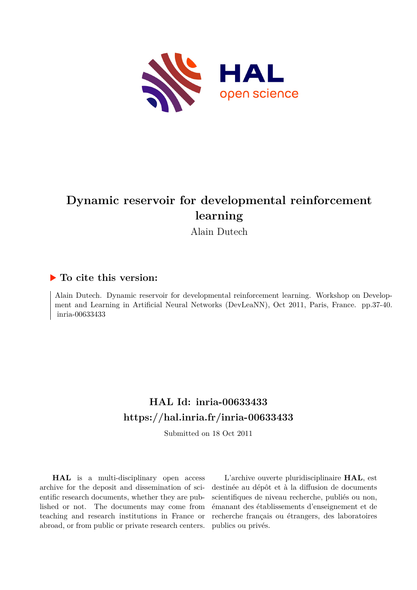

## **Dynamic reservoir for developmental reinforcement learning**

Alain Dutech

### **To cite this version:**

Alain Dutech. Dynamic reservoir for developmental reinforcement learning. Workshop on Development and Learning in Artificial Neural Networks (DevLeaNN), Oct 2011, Paris, France. pp.37-40. inria-00633433

## **HAL Id: inria-00633433 <https://hal.inria.fr/inria-00633433>**

Submitted on 18 Oct 2011

**HAL** is a multi-disciplinary open access archive for the deposit and dissemination of scientific research documents, whether they are published or not. The documents may come from teaching and research institutions in France or abroad, or from public or private research centers.

L'archive ouverte pluridisciplinaire **HAL**, est destinée au dépôt et à la diffusion de documents scientifiques de niveau recherche, publiés ou non, émanant des établissements d'enseignement et de recherche français ou étrangers, des laboratoires publics ou privés.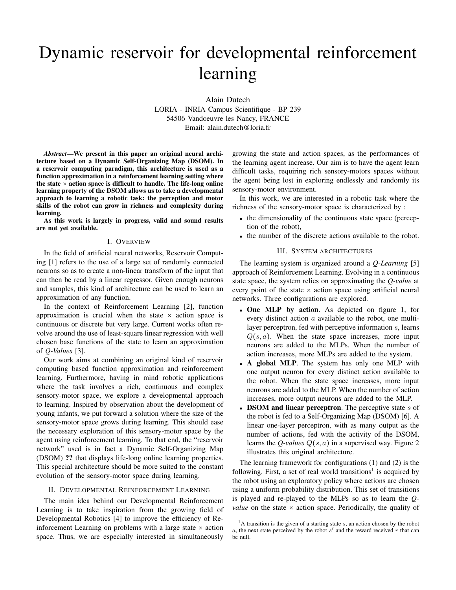# Dynamic reservoir for developmental reinforcement learning

Alain Dutech LORIA - INRIA Campus Scientifique - BP 239 54506 Vandoeuvre les Nancy, FRANCE Email: alain.dutech@loria.fr

*Abstract*—We present in this paper an original neural architecture based on a Dynamic Self-Organizing Map (DSOM). In a reservoir computing paradigm, this architecture is used as a function approximation in a reinforcement learning setting where the state  $\times$  action space is difficult to handle. The life-long online learning property of the DSOM allows us to take a developmental approach to learning a robotic task: the perception and motor skills of the robot can grow in richness and complexity during learning.

As this work is largely in progress, valid and sound results are not yet available.

#### I. OVERVIEW

In the field of artificial neural networks, Reservoir Computing [1] refers to the use of a large set of randomly connected neurons so as to create a non-linear transform of the input that can then be read by a linear regressor. Given enough neurons and samples, this kind of architecture can be used to learn an approximation of any function.

In the context of Reinforcement Learning [2], function approximation is crucial when the state  $\times$  action space is continuous or discrete but very large. Current works often revolve around the use of least-square linear regression with well chosen base functions of the state to learn an approximation of *Q-Values* [3].

Our work aims at combining an original kind of reservoir computing based function approximation and reinforcement learning. Furthermore, having in mind robotic applications where the task involves a rich, continuous and complex sensory-motor space, we explore a developmental approach to learning. Inspired by observation about the development of young infants, we put forward a solution where the size of the sensory-motor space grows during learning. This should ease the necessary exploration of this sensory-motor space by the agent using reinforcement learning. To that end, the "reservoir network" used is in fact a Dynamic Self-Organizing Map (DSOM) ?? that displays life-long online learning properties. This special architecture should be more suited to the constant evolution of the sensory-motor space during learning.

#### II. DEVELOPMENTAL REINFORCEMENT LEARNING

The main idea behind our Developmental Reinforcement Learning is to take inspiration from the growing field of Developmental Robotics [4] to improve the efficiency of Reinforcement Learning on problems with a large state  $\times$  action space. Thus, we are especially interested in simultaneously

growing the state and action spaces, as the performances of the learning agent increase. Our aim is to have the agent learn difficult tasks, requiring rich sensory-motors spaces without the agent being lost in exploring endlessly and randomly its sensory-motor environment.

In this work, we are interested in a robotic task where the richness of the sensory-motor space is characterized by :

- the dimensionality of the continuous state space (perception of the robot),
- the number of the discrete actions available to the robot.

#### III. SYSTEM ARCHITECTURES

The learning system is organized around a *Q-Learning* [5] approach of Reinforcement Learning. Evolving in a continuous state space, the system relies on approximating the *Q-value* at every point of the state  $\times$  action space using artificial neural networks. Three configurations are explored.

- One MLP by action. As depicted on figure 1, for every distinct action a available to the robot, one multilayer perceptron, fed with perceptive information s, learns  $Q(s, a)$ . When the state space increases, more input neurons are added to the MLPs. When the number of action increases, more MLPs are added to the system.
- A global MLP. The system has only one MLP with one output neuron for every distinct action available to the robot. When the state space increases, more input neurons are added to the MLP. When the number of action increases, more output neurons are added to the MLP.
- DSOM and linear perceptron. The perceptive state  $s$  of the robot is fed to a Self-Organizing Map (DSOM) [6]. A linear one-layer perceptron, with as many output as the number of actions, fed with the activity of the DSOM, learns the *Q-values*  $Q(s, a)$  in a supervised way. Figure 2 illustrates this original architecture.

The learning framework for configurations (1) and (2) is the following. First, a set of real world transitions<sup>1</sup> is acquired by the robot using an exploratory policy where actions are chosen using a uniform probability distribution. This set of transitions is played and re-played to the MLPs so as to learn the *Qvalue* on the state  $\times$  action space. Periodically, the quality of

 $<sup>1</sup>A$  transition is the given of a starting state s, an action chosen by the robot</sup>  $a$ , the next state perceived by the robot  $s'$  and the reward received  $r$  that can be null.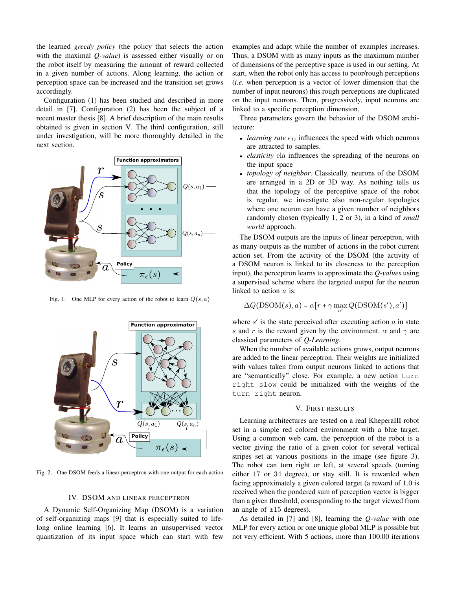the learned *greedy policy* (the policy that selects the action with the maximal *Q-value*) is assessed either visually or on the robot itself by measuring the amount of reward collected in a given number of actions. Along learning, the action or perception space can be increased and the transition set grows accordingly.

Configuration (1) has been studied and described in more detail in [7]. Configuration (2) has been the subject of a recent master thesis [8]. A brief description of the main results obtained is given in section V. The third configuration, still under investigation, will be more thoroughly detailed in the next section.



Fig. 1. One MLP for every action of the robot to learn  $Q(s, a)$ 



Fig. 2. One DSOM feeds a linear perceptron with one output for each action

#### IV. DSOM AND LINEAR PERCEPTRON

A Dynamic Self-Organizing Map (DSOM) is a variation of self-organizing maps [9] that is especially suited to lifelong online learning [6]. It learns an unsupervised vector quantization of its input space which can start with few

examples and adapt while the number of examples increases. Thus, a DSOM with as many inputs as the maximum number of dimensions of the perceptive space is used in our setting. At start, when the robot only has access to poor/rough perceptions (*i.e.* when perception is a vector of lower dimension that the number of input neurons) this rough perceptions are duplicated on the input neurons. Then, progressively, input neurons are linked to a specific perception dimension.

Three parameters govern the behavior of the DSOM architecture:

- *learning rate*  $\epsilon_D$  influences the speed with which neurons are attracted to samples.
- *elasticity* ela influences the spreading of the neurons on the input space
- *topology of neighbor*. Classically, neurons of the DSOM are arranged in a 2D or 3D way. As nothing tells us that the topology of the perceptive space of the robot is regular, we investigate also non-regular topologies where one neuron can have a given number of neighbors randomly chosen (typically 1, 2 or 3), in a kind of *small world* approach.

The DSOM outputs are the inputs of linear perceptron, with as many outputs as the number of actions in the robot current action set. From the activity of the DSOM (the activity of a DSOM neuron is linked to its closeness to the perception input), the perceptron learns to approximate the *Q-values* using a supervised scheme where the targeted output for the neuron linked to action a is:

$$
\Delta Q(\text{DSOM}(s), a) = \alpha [r + \gamma \max_{a'} Q(\text{DSOM}(s'), a')]
$$

where  $s'$  is the state perceived after executing action  $a$  in state s and r is the reward given by the environment.  $\alpha$  and  $\gamma$  are classical parameters of *Q-Learning*.

When the number of available actions grows, output neurons are added to the linear perceptron. Their weights are initialized with values taken from output neurons linked to actions that are "semantically" close. For example, a new action turn right slow could be initialized with the weights of the turn right neuron.

#### V. FIRST RESULTS

Learning architectures are tested on a real KheperaIII robot set in a simple red colored environment with a blue target. Using a common web cam, the perception of the robot is a vector giving the ratio of a given color for several vertical stripes set at various positions in the image (see figure 3). The robot can turn right or left, at several speeds (turning either 17 or 34 degree), or stay still. It is rewarded when facing approximately a given colored target (a reward of 1.0 is received when the pondered sum of perception vector is bigger than a given threshold, corresponding to the target viewed from an angle of  $\pm 15$  degrees).

As detailed in [7] and [8], learning the *Q-value* with one MLP for every action or one unique global MLP is possible but not very efficient. With 5 actions, more than 100.00 iterations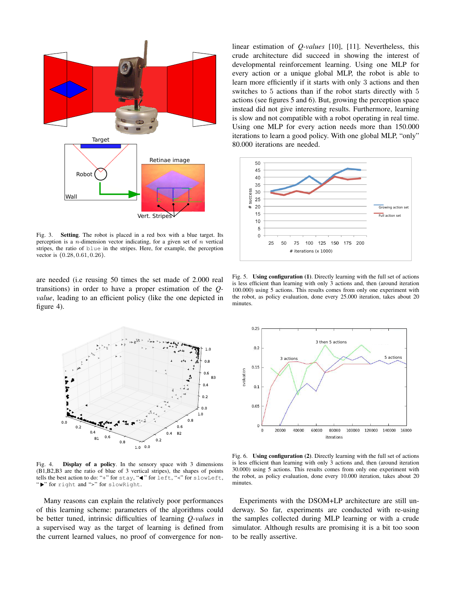

Fig. 3. Setting. The robot is placed in a red box with a blue target. Its perception is a *n*-dimension vector indicating, for a given set of  $n$  vertical stripes, the ratio of blue in the stripes. Here, for example, the perception vector is (0.28, 0.61, 0.26).

are needed (i.e reusing 50 times the set made of 2.000 real transitions) in order to have a proper estimation of the *Qvalue*, leading to an efficient policy (like the one depicted in figure 4).



Fig. 4. Display of a policy. In the sensory space with 3 dimensions (B1,B2,B3 are the ratio of blue of 3 vertical stripes), the shapes of points tells the best action to do: "+" for stay, "◀" for left, "≺" for slowLeft, "▶" for right and "≻" for slowRight.

Many reasons can explain the relatively poor performances of this learning scheme: parameters of the algorithms could be better tuned, intrinsic difficulties of learning *Q-values* in a supervised way as the target of learning is defined from the current learned values, no proof of convergence for nonlinear estimation of *Q-values* [10], [11]. Nevertheless, this crude architecture did succeed in showing the interest of developmental reinforcement learning. Using one MLP for every action or a unique global MLP, the robot is able to learn more efficiently if it starts with only 3 actions and then switches to 5 actions than if the robot starts directly with 5 actions (see figures 5 and 6). But, growing the perception space instead did not give interesting results. Furthermore, learning is slow and not compatible with a robot operating in real time. Using one MLP for every action needs more than 150.000 iterations to learn a good policy. With one global MLP, "only" 80.000 iterations are needed.



Fig. 5. Using configuration (1). Directly learning with the full set of actions is less efficient than learning with only 3 actions and, then (around iteration 100.000) using 5 actions. This results comes from only one experiment with the robot, as policy evaluation, done every 25.000 iteration, takes about 20 minutes.



Fig. 6. Using configuration (2). Directly learning with the full set of actions is less efficient than learning with only 3 actions and, then (around iteration 30.000) using 5 actions. This results comes from only one experiment with the robot, as policy evaluation, done every 10.000 iteration, takes about 20 minutes.

Experiments with the DSOM+LP architecture are still underway. So far, experiments are conducted with re-using the samples collected during MLP learning or with a crude simulator. Although results are promising it is a bit too soon to be really assertive.